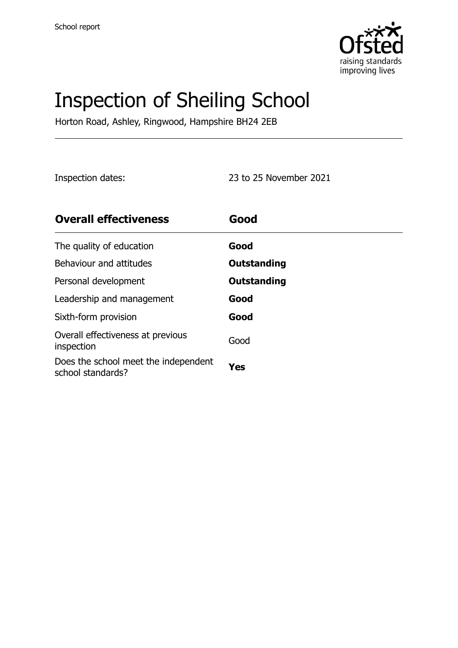

# Inspection of Sheiling School

Horton Road, Ashley, Ringwood, Hampshire BH24 2EB

Inspection dates: 23 to 25 November 2021

| <b>Overall effectiveness</b>                              | Good        |
|-----------------------------------------------------------|-------------|
| The quality of education                                  | Good        |
| Behaviour and attitudes                                   | Outstanding |
| Personal development                                      | Outstanding |
| Leadership and management                                 | Good        |
| Sixth-form provision                                      | Good        |
| Overall effectiveness at previous<br>inspection           | Good        |
| Does the school meet the independent<br>school standards? | Yes         |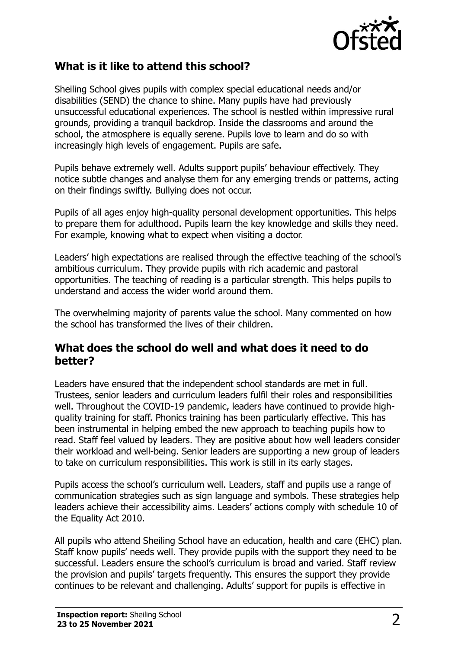

#### **What is it like to attend this school?**

Sheiling School gives pupils with complex special educational needs and/or disabilities (SEND) the chance to shine. Many pupils have had previously unsuccessful educational experiences. The school is nestled within impressive rural grounds, providing a tranquil backdrop. Inside the classrooms and around the school, the atmosphere is equally serene. Pupils love to learn and do so with increasingly high levels of engagement. Pupils are safe.

Pupils behave extremely well. Adults support pupils' behaviour effectively. They notice subtle changes and analyse them for any emerging trends or patterns, acting on their findings swiftly. Bullying does not occur.

Pupils of all ages enjoy high-quality personal development opportunities. This helps to prepare them for adulthood. Pupils learn the key knowledge and skills they need. For example, knowing what to expect when visiting a doctor.

Leaders' high expectations are realised through the effective teaching of the school's ambitious curriculum. They provide pupils with rich academic and pastoral opportunities. The teaching of reading is a particular strength. This helps pupils to understand and access the wider world around them.

The overwhelming majority of parents value the school. Many commented on how the school has transformed the lives of their children.

#### **What does the school do well and what does it need to do better?**

Leaders have ensured that the independent school standards are met in full. Trustees, senior leaders and curriculum leaders fulfil their roles and responsibilities well. Throughout the COVID-19 pandemic, leaders have continued to provide highquality training for staff. Phonics training has been particularly effective. This has been instrumental in helping embed the new approach to teaching pupils how to read. Staff feel valued by leaders. They are positive about how well leaders consider their workload and well-being. Senior leaders are supporting a new group of leaders to take on curriculum responsibilities. This work is still in its early stages.

Pupils access the school's curriculum well. Leaders, staff and pupils use a range of communication strategies such as sign language and symbols. These strategies help leaders achieve their accessibility aims. Leaders' actions comply with schedule 10 of the Equality Act 2010.

All pupils who attend Sheiling School have an education, health and care (EHC) plan. Staff know pupils' needs well. They provide pupils with the support they need to be successful. Leaders ensure the school's curriculum is broad and varied. Staff review the provision and pupils' targets frequently. This ensures the support they provide continues to be relevant and challenging. Adults' support for pupils is effective in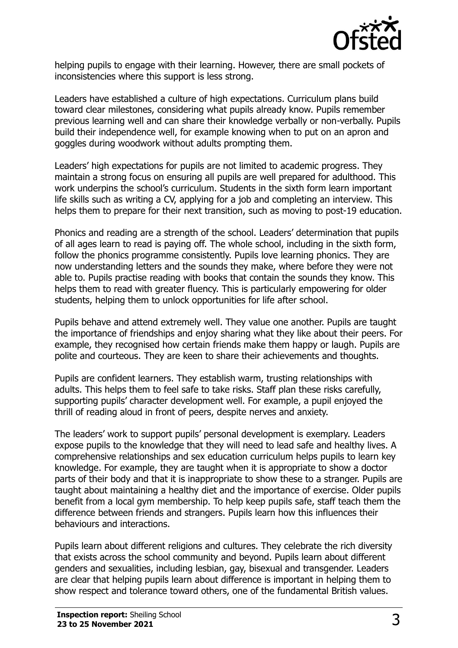

helping pupils to engage with their learning. However, there are small pockets of inconsistencies where this support is less strong.

Leaders have established a culture of high expectations. Curriculum plans build toward clear milestones, considering what pupils already know. Pupils remember previous learning well and can share their knowledge verbally or non-verbally. Pupils build their independence well, for example knowing when to put on an apron and goggles during woodwork without adults prompting them.

Leaders' high expectations for pupils are not limited to academic progress. They maintain a strong focus on ensuring all pupils are well prepared for adulthood. This work underpins the school's curriculum. Students in the sixth form learn important life skills such as writing a CV, applying for a job and completing an interview. This helps them to prepare for their next transition, such as moving to post-19 education.

Phonics and reading are a strength of the school. Leaders' determination that pupils of all ages learn to read is paying off. The whole school, including in the sixth form, follow the phonics programme consistently. Pupils love learning phonics. They are now understanding letters and the sounds they make, where before they were not able to. Pupils practise reading with books that contain the sounds they know. This helps them to read with greater fluency. This is particularly empowering for older students, helping them to unlock opportunities for life after school.

Pupils behave and attend extremely well. They value one another. Pupils are taught the importance of friendships and enjoy sharing what they like about their peers. For example, they recognised how certain friends make them happy or laugh. Pupils are polite and courteous. They are keen to share their achievements and thoughts.

Pupils are confident learners. They establish warm, trusting relationships with adults. This helps them to feel safe to take risks. Staff plan these risks carefully, supporting pupils' character development well. For example, a pupil enjoyed the thrill of reading aloud in front of peers, despite nerves and anxiety.

The leaders' work to support pupils' personal development is exemplary. Leaders expose pupils to the knowledge that they will need to lead safe and healthy lives. A comprehensive relationships and sex education curriculum helps pupils to learn key knowledge. For example, they are taught when it is appropriate to show a doctor parts of their body and that it is inappropriate to show these to a stranger. Pupils are taught about maintaining a healthy diet and the importance of exercise. Older pupils benefit from a local gym membership. To help keep pupils safe, staff teach them the difference between friends and strangers. Pupils learn how this influences their behaviours and interactions.

Pupils learn about different religions and cultures. They celebrate the rich diversity that exists across the school community and beyond. Pupils learn about different genders and sexualities, including lesbian, gay, bisexual and transgender. Leaders are clear that helping pupils learn about difference is important in helping them to show respect and tolerance toward others, one of the fundamental British values.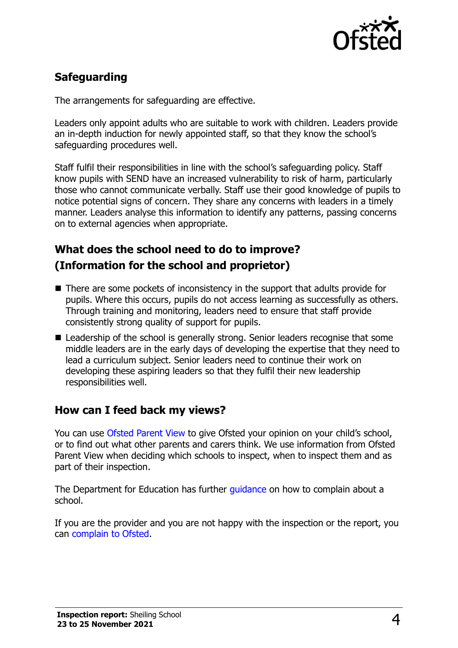

# **Safeguarding**

The arrangements for safeguarding are effective.

Leaders only appoint adults who are suitable to work with children. Leaders provide an in-depth induction for newly appointed staff, so that they know the school's safeguarding procedures well.

Staff fulfil their responsibilities in line with the school's safeguarding policy. Staff know pupils with SEND have an increased vulnerability to risk of harm, particularly those who cannot communicate verbally. Staff use their good knowledge of pupils to notice potential signs of concern. They share any concerns with leaders in a timely manner. Leaders analyse this information to identify any patterns, passing concerns on to external agencies when appropriate.

# **What does the school need to do to improve? (Information for the school and proprietor)**

- There are some pockets of inconsistency in the support that adults provide for pupils. Where this occurs, pupils do not access learning as successfully as others. Through training and monitoring, leaders need to ensure that staff provide consistently strong quality of support for pupils.
- Leadership of the school is generally strong. Senior leaders recognise that some middle leaders are in the early days of developing the expertise that they need to lead a curriculum subject. Senior leaders need to continue their work on developing these aspiring leaders so that they fulfil their new leadership responsibilities well.

### **How can I feed back my views?**

You can use [Ofsted Parent View](http://parentview.ofsted.gov.uk/) to give Ofsted your opinion on your child's school, or to find out what other parents and carers think. We use information from Ofsted Parent View when deciding which schools to inspect, when to inspect them and as part of their inspection.

The Department for Education has further quidance on how to complain about a school.

If you are the provider and you are not happy with the inspection or the report, you can [complain to Ofsted.](http://www.gov.uk/complain-ofsted-report)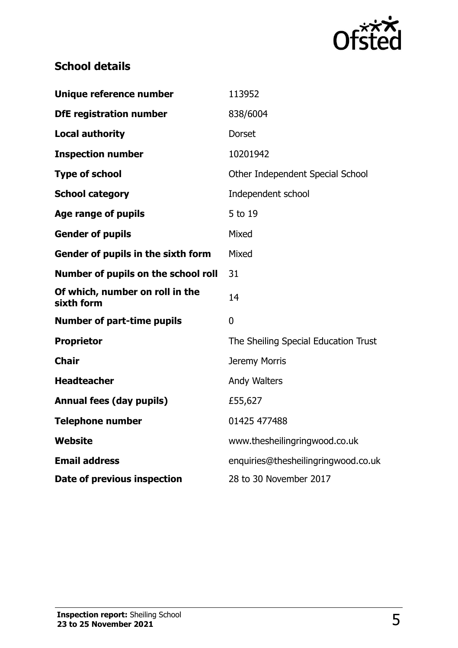

# **School details**

| Unique reference number                       | 113952                               |
|-----------------------------------------------|--------------------------------------|
| <b>DfE registration number</b>                | 838/6004                             |
| <b>Local authority</b>                        | <b>Dorset</b>                        |
| <b>Inspection number</b>                      | 10201942                             |
| <b>Type of school</b>                         | Other Independent Special School     |
| <b>School category</b>                        | Independent school                   |
| <b>Age range of pupils</b>                    | 5 to 19                              |
| <b>Gender of pupils</b>                       | Mixed                                |
| Gender of pupils in the sixth form            | Mixed                                |
| Number of pupils on the school roll           | 31                                   |
| Of which, number on roll in the<br>sixth form | 14                                   |
| <b>Number of part-time pupils</b>             | 0                                    |
| <b>Proprietor</b>                             | The Sheiling Special Education Trust |
| <b>Chair</b>                                  | Jeremy Morris                        |
| <b>Headteacher</b>                            | <b>Andy Walters</b>                  |
| <b>Annual fees (day pupils)</b>               | £55,627                              |
| <b>Telephone number</b>                       | 01425 477488                         |
| <b>Website</b>                                | www.thesheilingringwood.co.uk        |
| <b>Email address</b>                          | enquiries@thesheilingringwood.co.uk  |
| Date of previous inspection                   | 28 to 30 November 2017               |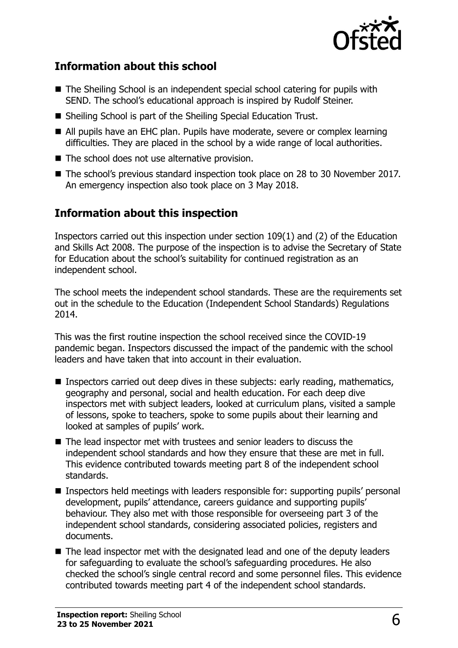

### **Information about this school**

- The Sheiling School is an independent special school catering for pupils with SEND. The school's educational approach is inspired by Rudolf Steiner.
- Sheiling School is part of the Sheiling Special Education Trust.
- All pupils have an EHC plan. Pupils have moderate, severe or complex learning difficulties. They are placed in the school by a wide range of local authorities.
- The school does not use alternative provision.
- The school's previous standard inspection took place on 28 to 30 November 2017. An emergency inspection also took place on 3 May 2018.

### **Information about this inspection**

Inspectors carried out this inspection under section 109(1) and (2) of the Education and Skills Act 2008. The purpose of the inspection is to advise the Secretary of State for Education about the school's suitability for continued registration as an independent school.

The school meets the independent school standards. These are the requirements set out in the schedule to the Education (Independent School Standards) Regulations 2014.

This was the first routine inspection the school received since the COVID-19 pandemic began. Inspectors discussed the impact of the pandemic with the school leaders and have taken that into account in their evaluation.

- Inspectors carried out deep dives in these subjects: early reading, mathematics, geography and personal, social and health education. For each deep dive inspectors met with subject leaders, looked at curriculum plans, visited a sample of lessons, spoke to teachers, spoke to some pupils about their learning and looked at samples of pupils' work.
- The lead inspector met with trustees and senior leaders to discuss the independent school standards and how they ensure that these are met in full. This evidence contributed towards meeting part 8 of the independent school standards.
- Inspectors held meetings with leaders responsible for: supporting pupils' personal development, pupils' attendance, careers guidance and supporting pupils' behaviour. They also met with those responsible for overseeing part 3 of the independent school standards, considering associated policies, registers and documents.
- The lead inspector met with the designated lead and one of the deputy leaders for safeguarding to evaluate the school's safeguarding procedures. He also checked the school's single central record and some personnel files. This evidence contributed towards meeting part 4 of the independent school standards.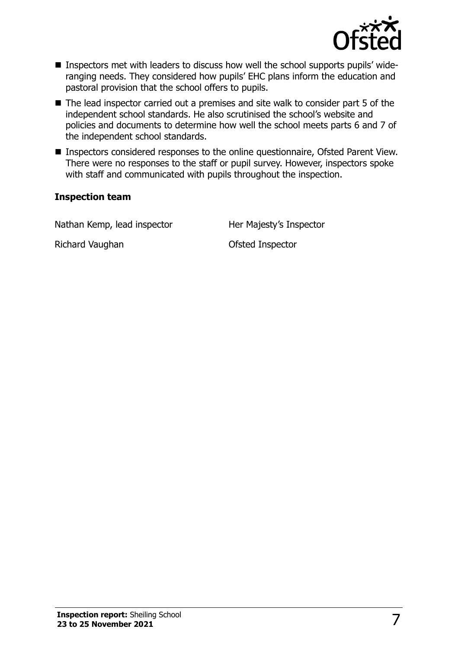

- Inspectors met with leaders to discuss how well the school supports pupils' wideranging needs. They considered how pupils' EHC plans inform the education and pastoral provision that the school offers to pupils.
- The lead inspector carried out a premises and site walk to consider part 5 of the independent school standards. He also scrutinised the school's website and policies and documents to determine how well the school meets parts 6 and 7 of the independent school standards.
- Inspectors considered responses to the online questionnaire, Ofsted Parent View. There were no responses to the staff or pupil survey. However, inspectors spoke with staff and communicated with pupils throughout the inspection.

#### **Inspection team**

Nathan Kemp, lead inspector **Her Majesty's Inspector** 

Richard Vaughan **Calculation** Ofsted Inspector